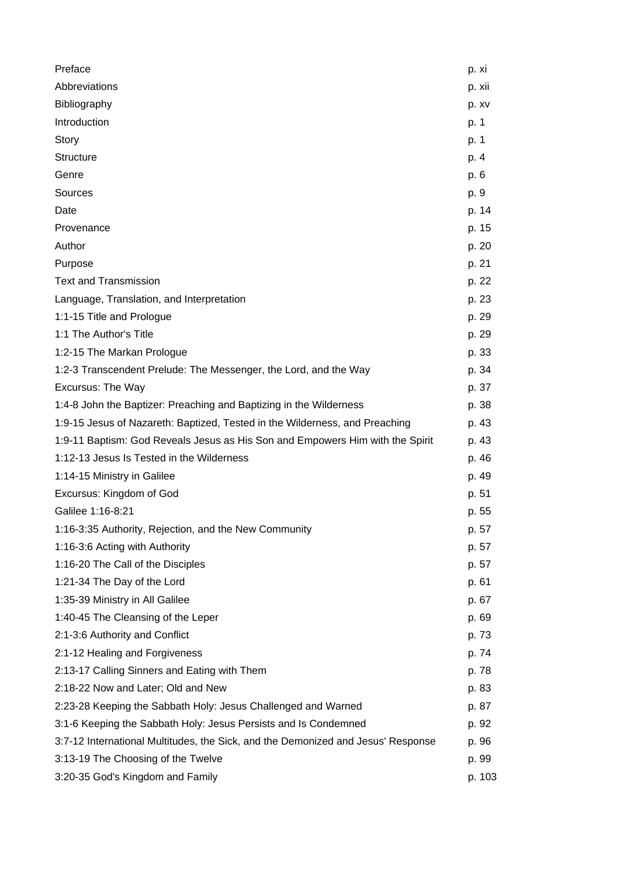| Preface                                                                          | p. xi  |
|----------------------------------------------------------------------------------|--------|
| Abbreviations                                                                    | p. xii |
| Bibliography                                                                     | p. xv  |
| Introduction                                                                     | p. 1   |
| Story                                                                            | p. 1   |
| <b>Structure</b>                                                                 | p. 4   |
| Genre                                                                            | p. 6   |
| Sources                                                                          | p. 9   |
| Date                                                                             | p. 14  |
| Provenance                                                                       | p. 15  |
| Author                                                                           | p. 20  |
| Purpose                                                                          | p. 21  |
| <b>Text and Transmission</b>                                                     | p. 22  |
| Language, Translation, and Interpretation                                        | p. 23  |
| 1:1-15 Title and Prologue                                                        | p. 29  |
| 1:1 The Author's Title                                                           | p. 29  |
| 1:2-15 The Markan Prologue                                                       | p. 33  |
| 1:2-3 Transcendent Prelude: The Messenger, the Lord, and the Way                 | p. 34  |
| <b>Excursus: The Way</b>                                                         | p. 37  |
| 1:4-8 John the Baptizer: Preaching and Baptizing in the Wilderness               | p. 38  |
| 1:9-15 Jesus of Nazareth: Baptized, Tested in the Wilderness, and Preaching      | p. 43  |
| 1:9-11 Baptism: God Reveals Jesus as His Son and Empowers Him with the Spirit    | p. 43  |
| 1:12-13 Jesus Is Tested in the Wilderness                                        | p. 46  |
| 1:14-15 Ministry in Galilee                                                      | p. 49  |
| Excursus: Kingdom of God                                                         | p. 51  |
| Galilee 1:16-8:21                                                                | p. 55  |
| 1:16-3:35 Authority, Rejection, and the New Community                            | p. 57  |
| 1:16-3:6 Acting with Authority                                                   | p. 57  |
| 1:16-20 The Call of the Disciples                                                | p. 57  |
| 1:21-34 The Day of the Lord                                                      | p. 61  |
| 1:35-39 Ministry in All Galilee                                                  | p. 67  |
| 1:40-45 The Cleansing of the Leper                                               | p. 69  |
| 2:1-3:6 Authority and Conflict                                                   | p. 73  |
| 2:1-12 Healing and Forgiveness                                                   | p. 74  |
| 2:13-17 Calling Sinners and Eating with Them                                     | p. 78  |
| 2:18-22 Now and Later; Old and New                                               | p. 83  |
| 2:23-28 Keeping the Sabbath Holy: Jesus Challenged and Warned                    | p. 87  |
| 3:1-6 Keeping the Sabbath Holy: Jesus Persists and Is Condemned                  | p. 92  |
| 3:7-12 International Multitudes, the Sick, and the Demonized and Jesus' Response | p. 96  |
| 3:13-19 The Choosing of the Twelve                                               | p. 99  |
| 3:20-35 God's Kingdom and Family                                                 | p. 103 |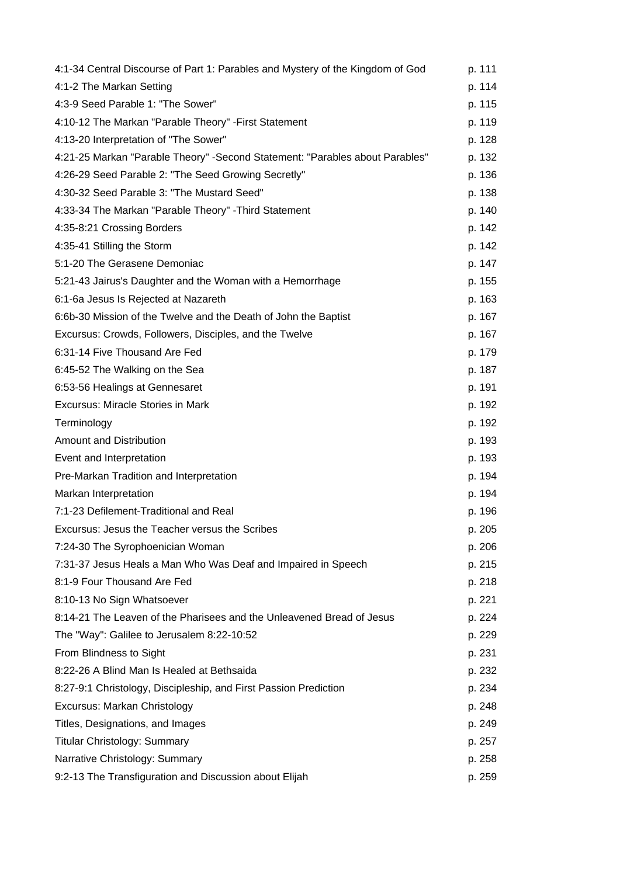| 4:1-34 Central Discourse of Part 1: Parables and Mystery of the Kingdom of God | p. 111 |
|--------------------------------------------------------------------------------|--------|
| 4:1-2 The Markan Setting                                                       | p. 114 |
| 4:3-9 Seed Parable 1: "The Sower"                                              | p. 115 |
| 4:10-12 The Markan "Parable Theory" - First Statement                          | p. 119 |
| 4:13-20 Interpretation of "The Sower"                                          | p. 128 |
| 4:21-25 Markan "Parable Theory" - Second Statement: "Parables about Parables"  | p. 132 |
| 4:26-29 Seed Parable 2: "The Seed Growing Secretly"                            | p. 136 |
| 4:30-32 Seed Parable 3: "The Mustard Seed"                                     | p. 138 |
| 4:33-34 The Markan "Parable Theory" - Third Statement                          | p. 140 |
| 4:35-8:21 Crossing Borders                                                     | p. 142 |
| 4:35-41 Stilling the Storm                                                     | p. 142 |
| 5:1-20 The Gerasene Demoniac                                                   | p. 147 |
| 5:21-43 Jairus's Daughter and the Woman with a Hemorrhage                      | p. 155 |
| 6:1-6a Jesus Is Rejected at Nazareth                                           | p. 163 |
| 6:6b-30 Mission of the Twelve and the Death of John the Baptist                | p. 167 |
| Excursus: Crowds, Followers, Disciples, and the Twelve                         | p. 167 |
| 6:31-14 Five Thousand Are Fed                                                  | p. 179 |
| 6:45-52 The Walking on the Sea                                                 | p. 187 |
| 6:53-56 Healings at Gennesaret                                                 | p. 191 |
| <b>Excursus: Miracle Stories in Mark</b>                                       | p. 192 |
| Terminology                                                                    | p. 192 |
| <b>Amount and Distribution</b>                                                 | p. 193 |
| Event and Interpretation                                                       | p. 193 |
| Pre-Markan Tradition and Interpretation                                        | p. 194 |
| Markan Interpretation                                                          | p. 194 |
| 7:1-23 Defilement-Traditional and Real                                         | p. 196 |
| Excursus: Jesus the Teacher versus the Scribes                                 | p. 205 |
| 7:24-30 The Syrophoenician Woman                                               | p. 206 |
| 7:31-37 Jesus Heals a Man Who Was Deaf and Impaired in Speech                  | p. 215 |
| 8:1-9 Four Thousand Are Fed                                                    | p. 218 |
| 8:10-13 No Sign Whatsoever                                                     | p. 221 |
| 8:14-21 The Leaven of the Pharisees and the Unleavened Bread of Jesus          | p. 224 |
| The "Way": Galilee to Jerusalem 8:22-10:52                                     | p. 229 |
| From Blindness to Sight                                                        | p. 231 |
| 8:22-26 A Blind Man Is Healed at Bethsaida                                     | p. 232 |
| 8:27-9:1 Christology, Discipleship, and First Passion Prediction               | p. 234 |
| Excursus: Markan Christology                                                   | p. 248 |
| Titles, Designations, and Images                                               | p. 249 |
| <b>Titular Christology: Summary</b>                                            | p. 257 |
| Narrative Christology: Summary                                                 | p. 258 |
| 9:2-13 The Transfiguration and Discussion about Elijah                         | p. 259 |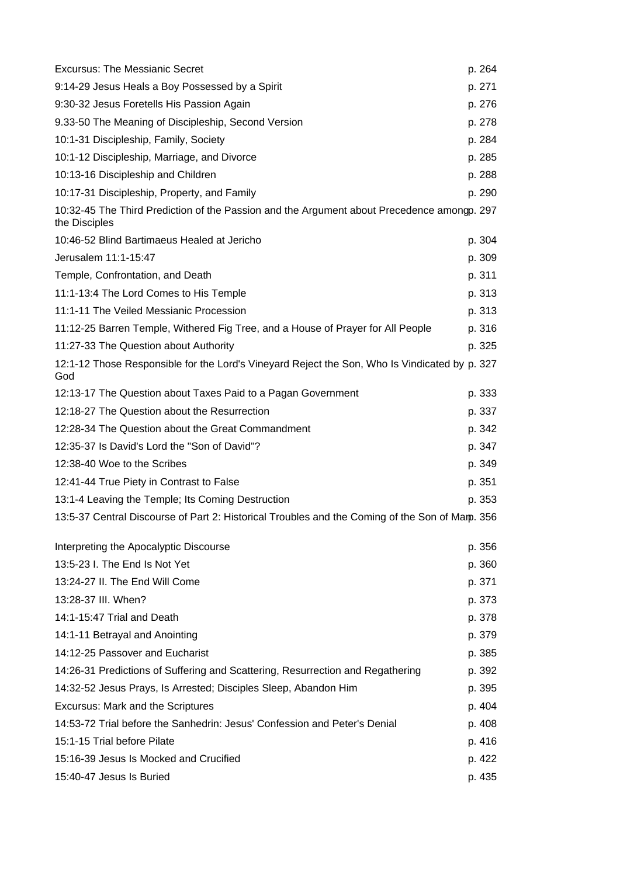| <b>Excursus: The Messianic Secret</b>                                                                       | p. 264 |
|-------------------------------------------------------------------------------------------------------------|--------|
| 9:14-29 Jesus Heals a Boy Possessed by a Spirit                                                             | p. 271 |
| 9:30-32 Jesus Foretells His Passion Again                                                                   | p. 276 |
| 9.33-50 The Meaning of Discipleship, Second Version                                                         | p. 278 |
| 10:1-31 Discipleship, Family, Society                                                                       | p. 284 |
| 10:1-12 Discipleship, Marriage, and Divorce                                                                 | p. 285 |
| 10:13-16 Discipleship and Children                                                                          | p. 288 |
| 10:17-31 Discipleship, Property, and Family                                                                 | p. 290 |
| 10:32-45 The Third Prediction of the Passion and the Argument about Precedence amongp. 297<br>the Disciples |        |
| 10:46-52 Blind Bartimaeus Healed at Jericho                                                                 | p. 304 |
| Jerusalem 11:1-15:47                                                                                        | p. 309 |
| Temple, Confrontation, and Death                                                                            | p. 311 |
| 11:1-13:4 The Lord Comes to His Temple                                                                      | p. 313 |
| 11:1-11 The Veiled Messianic Procession                                                                     | p. 313 |
| 11:12-25 Barren Temple, Withered Fig Tree, and a House of Prayer for All People                             | p. 316 |
| 11:27-33 The Question about Authority                                                                       | p. 325 |
| 12:1-12 Those Responsible for the Lord's Vineyard Reject the Son, Who Is Vindicated by p. 327<br>God        |        |
| 12:13-17 The Question about Taxes Paid to a Pagan Government                                                | p. 333 |
| 12:18-27 The Question about the Resurrection                                                                | p. 337 |
| 12:28-34 The Question about the Great Commandment                                                           | p. 342 |
| 12:35-37 Is David's Lord the "Son of David"?                                                                | p. 347 |
| 12:38-40 Woe to the Scribes                                                                                 | p. 349 |
| 12:41-44 True Piety in Contrast to False                                                                    | p. 351 |
| 13:1-4 Leaving the Temple; Its Coming Destruction                                                           | p. 353 |
| 13:5-37 Central Discourse of Part 2: Historical Troubles and the Coming of the Son of Mamp. 356             |        |
| Interpreting the Apocalyptic Discourse                                                                      | p. 356 |
| 13:5-23 I. The End Is Not Yet                                                                               | p. 360 |
| 13:24-27 II. The End Will Come                                                                              | p. 371 |
| 13:28-37 III. When?                                                                                         | p. 373 |
| 14:1-15:47 Trial and Death                                                                                  | p. 378 |
| 14:1-11 Betrayal and Anointing                                                                              | p. 379 |
| 14:12-25 Passover and Eucharist                                                                             | p. 385 |
| 14:26-31 Predictions of Suffering and Scattering, Resurrection and Regathering                              | p. 392 |
| 14:32-52 Jesus Prays, Is Arrested; Disciples Sleep, Abandon Him                                             | p. 395 |
| <b>Excursus: Mark and the Scriptures</b>                                                                    | p. 404 |
| 14:53-72 Trial before the Sanhedrin: Jesus' Confession and Peter's Denial                                   | p. 408 |
| 15:1-15 Trial before Pilate                                                                                 | p. 416 |
| 15:16-39 Jesus Is Mocked and Crucified                                                                      | p. 422 |
| 15:40-47 Jesus Is Buried                                                                                    | p. 435 |